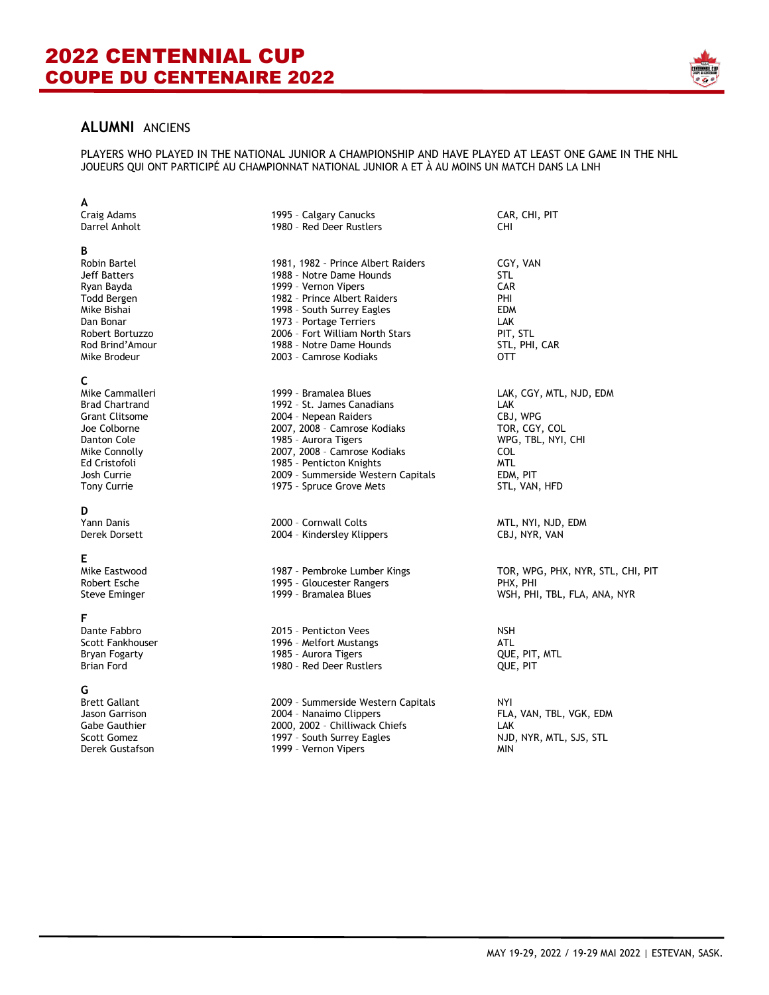

# **ALUMNI** ANCIENS

PLAYERS WHO PLAYED IN THE NATIONAL JUNIOR A CHAMPIONSHIP AND HAVE PLAYED AT LEAST ONE GAME IN THE NHL JOUEURS QUI ONT PARTICIPÉ AU CHAMPIONNAT NATIONAL JUNIOR A ET À AU MOINS UN MATCH DANS LA LNH

| A                     |                                    |                                   |
|-----------------------|------------------------------------|-----------------------------------|
| Craig Adams           | 1995 - Calgary Canucks             | CAR, CHI, PIT                     |
| Darrel Anholt         | 1980 - Red Deer Rustlers           | CHI.                              |
| В                     |                                    |                                   |
| Robin Bartel          | 1981, 1982 - Prince Albert Raiders | CGY, VAN                          |
| Jeff Batters          | 1988 - Notre Dame Hounds           | STL                               |
| Ryan Bayda            | 1999 - Vernon Vipers               | <b>CAR</b>                        |
| Todd Bergen           | 1982 - Prince Albert Raiders       | PHI                               |
| Mike Bishai           | 1998 - South Surrey Eagles         | <b>EDM</b>                        |
| Dan Bonar             | 1973 - Portage Terriers            | <b>LAK</b>                        |
| Robert Bortuzzo       | 2006 - Fort William North Stars    | PIT, STL                          |
| Rod Brind'Amour       | 1988 - Notre Dame Hounds           | STL, PHI, CAR                     |
| Mike Brodeur          | 2003 - Camrose Kodiaks             | OTT                               |
| C                     |                                    |                                   |
| Mike Cammalleri       | 1999 - Bramalea Blues              | LAK, CGY, MTL, NJD, EDM           |
| <b>Brad Chartrand</b> | 1992 - St. James Canadians         | LAK                               |
| <b>Grant Clitsome</b> | 2004 - Nepean Raiders              | CBJ, WPG                          |
| Joe Colborne          | 2007, 2008 - Camrose Kodiaks       | TOR, CGY, COL                     |
| Danton Cole           | 1985 - Aurora Tigers               | WPG, TBL, NYI, CHI                |
| Mike Connolly         | 2007, 2008 - Camrose Kodiaks       | <b>COL</b>                        |
| Ed Cristofoli         | 1985 - Penticton Knights           | <b>MTL</b>                        |
| Josh Currie           | 2009 - Summerside Western Capitals | EDM, PIT                          |
| <b>Tony Currie</b>    | 1975 - Spruce Grove Mets           | STL, VAN, HFD                     |
| D                     |                                    |                                   |
| Yann Danis            | 2000 - Cornwall Colts              | MTL, NYI, NJD, EDM                |
| Derek Dorsett         | 2004 - Kindersley Klippers         | CBJ, NYR, VAN                     |
| E                     |                                    |                                   |
| Mike Eastwood         | 1987 - Pembroke Lumber Kings       | TOR, WPG, PHX, NYR, STL, CHI, PIT |
| Robert Esche          | 1995 - Gloucester Rangers          | PHX, PHI                          |
| <b>Steve Eminger</b>  | 1999 - Bramalea Blues              | WSH, PHI, TBL, FLA, ANA, NYR      |
| F                     |                                    |                                   |
| Dante Fabbro          | 2015 - Penticton Vees              | <b>NSH</b>                        |
| Scott Fankhouser      | 1996 - Melfort Mustangs            | ATL                               |
| Bryan Fogarty         | 1985 - Aurora Tigers               | QUE, PIT, MTL                     |
| <b>Brian Ford</b>     | 1980 - Red Deer Rustlers           | QUE, PIT                          |
| G                     |                                    |                                   |
| <b>Brett Gallant</b>  | 2009 - Summerside Western Capitals | NYI                               |
| Jason Garrison        | 2004 - Nanaimo Clippers            | FLA, VAN, TBL, VGK, EDM           |
| Gabe Gauthier         | 2000, 2002 - Chilliwack Chiefs     | LAK                               |
| <b>Scott Gomez</b>    | 1997 - South Surrey Eagles         | NJD, NYR, MTL, SJS, STL           |
| Derek Gustafson       | 1999 - Vernon Vipers               | MIN                               |
|                       |                                    |                                   |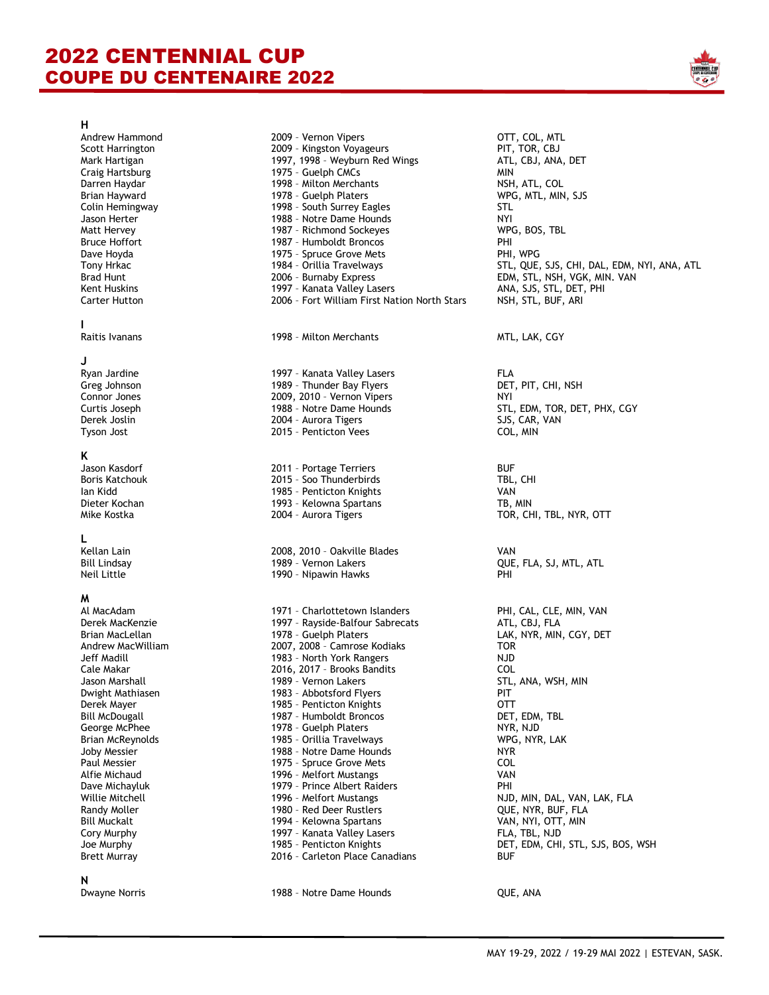# 2022 CENTENNIAL CUP COUPE DU CENTENAIRE 2022



### **H**

## **I**

### **J**

## **K**

**N**

| Andrew Hammond          | 2009 - Vernon Vipers                         | OTT, COL, MTL                      |
|-------------------------|----------------------------------------------|------------------------------------|
| <b>Scott Harrington</b> | 2009 - Kingston Voyageurs                    | PIT, TOR, CBJ                      |
| Mark Hartigan           | 1997, 1998 - Weyburn Red Wings               | ATL, CBJ, ANA, DET                 |
| Craig Hartsburg         | 1975 - Guelph CMCs                           | MIN                                |
| Darren Haydar           | 1998 - Milton Merchants                      | NSH, ATL, COL                      |
| Brian Hayward           | 1978 - Guelph Platers                        | WPG, MTL, MIN, SJS                 |
| Colin Hemingway         | 1998 - South Surrey Eagles                   | STL                                |
| Jason Herter            | 1988 - Notre Dame Hounds                     | NYI                                |
| Matt Hervey             | 1987 - Richmond Sockeyes                     | WPG, BOS, TBL                      |
| <b>Bruce Hoffort</b>    | 1987 - Humboldt Broncos                      | PHI                                |
| Dave Hoyda              | 1975 - Spruce Grove Mets                     | PHI, WPG                           |
| Tony Hrkac              | 1984 - Orillia Travelways                    | STL, QUE, SJS, CHI, DAL, EDM, NYI, |
| <b>Brad Hunt</b>        | 2006 - Burnaby Express                       | EDM, STL, NSH, VGK, MIN. VAN       |
| Kent Huskins            | 1997 - Kanata Valley Lasers                  | ANA, SJS, STL, DET, PHI            |
| <b>Carter Hutton</b>    | 2006 - Fort William First Nation North Stars | NSH, STL, BUF, ARI                 |
| L                       |                                              |                                    |
| Raitis Ivanans          | 1998 - Milton Merchants                      | MTL, LAK, CGY                      |
| J                       |                                              |                                    |
| Ryan Jardine            | 1997 - Kanata Valley Lasers                  | <b>FLA</b>                         |
| Greg Johnson            | 1989 - Thunder Bay Flyers                    | DET, PIT, CHI, NSH                 |
| Connor Jones            | 2009, 2010 - Vernon Vipers                   | NYI                                |
| Curtis Joseph           | 1988 - Notre Dame Hounds                     | STL, EDM, TOR, DET, PHX, CGY       |
| Derek Joslin            | 2004 - Aurora Tigers                         | SJS, CAR, VAN                      |
| Tyson Jost              | 2015 - Penticton Vees                        | COL, MIN                           |
| Κ                       |                                              |                                    |
| Jason Kasdorf           | 2011 - Portage Terriers                      | <b>BUF</b>                         |
| <b>Boris Katchouk</b>   | 2015 - Soo Thunderbirds                      | TBL, CHI                           |
| lan Kidd                | 1985 - Penticton Knights                     | VAN                                |
| Dieter Kochan           | 1993 - Kelowna Spartans                      | TB, MIN                            |
| Mike Kostka             | 2004 - Aurora Tigers                         | TOR, CHI, TBL, NYR, OTT            |
| L                       |                                              |                                    |
| Kellan Lain             | 2008, 2010 - Oakville Blades                 | VAN                                |
| <b>Bill Lindsay</b>     | 1989 - Vernon Lakers                         | QUE, FLA, SJ, MTL, ATL             |
|                         |                                              |                                    |
| Neil Little             | 1990 - Nipawin Hawks                         | PHI                                |
| M                       |                                              |                                    |
| Al MacAdam              | 1971 - Charlottetown Islanders               | PHI, CAL, CLE, MIN, VAN            |
| Derek MacKenzie         | 1997 - Rayside-Balfour Sabrecats             | ATL, CBJ, FLA                      |
| Brian MacLellan         | 1978 - Guelph Platers                        | LAK, NYR, MIN, CGY, DET            |
| Andrew MacWilliam       | 2007, 2008 - Camrose Kodiaks                 | <b>TOR</b>                         |
| Jeff Madill             | 1983 - North York Rangers                    | <b>NJD</b>                         |
| Cale Makar              | 2016, 2017 - Brooks Bandits                  | COL                                |
| Jason Marshall          | 1989 - Vernon Lakers                         | STL, ANA, WSH, MIN                 |
| Dwight Mathiasen        | 1983 - Abbotsford Flyers                     | PIT                                |
| Derek Mayer             | 1985 - Penticton Knights                     | OTT                                |
| <b>Bill McDougall</b>   | 1987 - Humboldt Broncos                      | DET, EDM, TBL                      |
| George McPhee           | 1978 - Guelph Platers                        | NYR, NJD                           |
| Brian McReynolds        | 1985 - Orillia Travelways                    | WPG, NYR, LAK                      |
| Joby Messier            | 1988 - Notre Dame Hounds                     | NYR.                               |
| Paul Messier            | 1975 - Spruce Grove Mets                     | COL                                |
| Alfie Michaud           | 1996 - Melfort Mustangs                      | VAN                                |
| Dave Michayluk          | 1979 - Prince Albert Raiders                 | PHI                                |
| Willie Mitchell         | 1996 - Melfort Mustangs                      | NJD, MIN, DAL, VAN, LAK, FLA       |
| Randy Moller            | 1980 - Red Deer Rustlers                     | QUE, NYR, BUF, FLA                 |
| <b>Bill Muckalt</b>     | 1994 - Kelowna Spartans                      | VAN, NYI, OTT, MIN                 |
| Cory Murphy             | 1997 - Kanata Valley Lasers                  | FLA, TBL, NJD                      |
| Joe Murphy              | 1985 - Penticton Knights                     | DET, EDM, CHI, STL, SJS, BOS, WSH  |
| <b>Brett Murray</b>     | 2016 - Carleton Place Canadians              | BUF                                |
|                         |                                              |                                    |

## 1988 - Notre Dame Hounds **QUE, ANA**

TL, CBJ, ANA, DET<br>IIN TL, QUE, SJS, CHI, DAL, EDM, NYI, ANA, ATL NA, SJS, STL, DET, PHI ET, PIT, CHI, NSH OR, CHI, TBL, NYR, OTT HI, CAL, CLE, MIN, VAN AK, NYR, MIN, CGY, DET TL, ANA, WSH, MIN UE, NYR, BUF, FLA